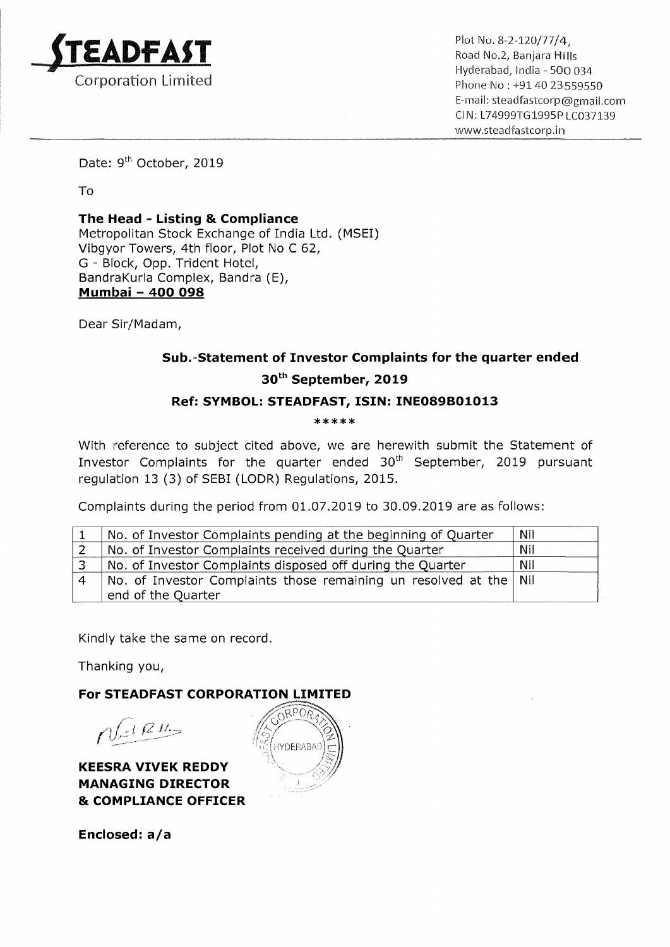

 $ADFAST$  Road No. 2, Banjara Hills \_ . . Hyderabad, lnclia <sup>~</sup> 500 034. Corporation Limited **Exercise 2008** 21 The Phone No : +91 40 23559550 E—mail: steadfastcorp®gmailcom Cl N: L74999TG 1995P LC037139 www.5teadfastcorp.in

Date: 9<sup>th</sup> October, 2019

To

The Head — Listing & Compliance Metropolitan Stock Exchange of India Ltd. (MSEI) Vibgyor Towers, 4th floor, Plot No <sup>C</sup> 62, G - Block, Opp. Trident Hotel, BandraKurla Complex, Bandra (E), <u>BandraKuna Comple</u><br><u>Mumbai - 400 098</u>

Dear Sir/Madam,

## Sub.—Statement of Investor Complaints for the quarter ended 30th September, 2019

## Ref: SYMBOL: STEADFAST, ISIN: INE089B01013

\*\*\*\*\*

With reference to subject cited above, we are herewith submit the Statement of Investor Complaints for the quarter ended  $30<sup>th</sup>$  September, 2019 pursuant regulation <sup>13</sup> (3) of SEBI (LODR) Regulations, 2015.

Complaints during the period from 01.07.2019 to 30.09.2019 are as follows:

| No. of Investor Complaints pending at the beginning of Quarter      | Nil |
|---------------------------------------------------------------------|-----|
| No. of Investor Complaints received during the Quarter              | Nil |
| No. of Investor Complaints disposed off during the Quarter          | Nil |
| No. of Investor Complaints those remaining un resolved at the   Nil |     |
| end of the Quarter                                                  |     |

Kindly take the same on record.

Thanking you,

For STEADFAST CORPORATION LIMITED

KEESRA VIVEK REDDY MANAGING DIRECTOR & COMPLIANCE OFFICER

 $\approx$  $n$   $\frac{1}{2}$   $\frac{1}{2}$   $\frac{1}{2}$ 

Enclosed: a/a